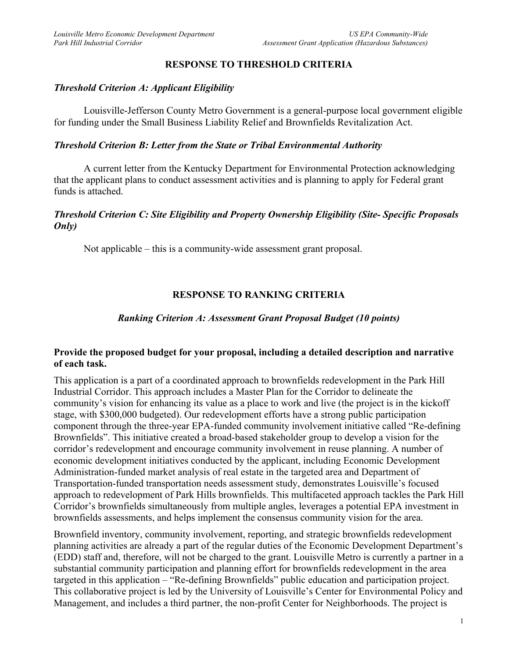## **RESPONSE TO THRESHOLD CRITERIA**

### *Threshold Criterion A: Applicant Eligibility*

Louisville-Jefferson County Metro Government is a general-purpose local government eligible for funding under the Small Business Liability Relief and Brownfields Revitalization Act.

### *Threshold Criterion B: Letter from the State or Tribal Environmental Authority*

A current letter from the Kentucky Department for Environmental Protection acknowledging that the applicant plans to conduct assessment activities and is planning to apply for Federal grant funds is attached.

## *Threshold Criterion C: Site Eligibility and Property Ownership Eligibility (Site- Specific Proposals Only)*

Not applicable – this is a community-wide assessment grant proposal.

# **RESPONSE TO RANKING CRITERIA**

### *Ranking Criterion A: Assessment Grant Proposal Budget (10 points)*

### **Provide the proposed budget for your proposal, including a detailed description and narrative of each task.**

This application is a part of a coordinated approach to brownfields redevelopment in the Park Hill Industrial Corridor. This approach includes a Master Plan for the Corridor to delineate the community's vision for enhancing its value as a place to work and live (the project is in the kickoff stage, with \$300,000 budgeted). Our redevelopment efforts have a strong public participation component through the three-year EPA-funded community involvement initiative called "Re-defining Brownfields". This initiative created a broad-based stakeholder group to develop a vision for the corridor's redevelopment and encourage community involvement in reuse planning. A number of economic development initiatives conducted by the applicant, including Economic Development Administration-funded market analysis of real estate in the targeted area and Department of Transportation-funded transportation needs assessment study, demonstrates Louisville's focused approach to redevelopment of Park Hills brownfields. This multifaceted approach tackles the Park Hill Corridor's brownfields simultaneously from multiple angles, leverages a potential EPA investment in brownfields assessments, and helps implement the consensus community vision for the area.

Brownfield inventory, community involvement, reporting, and strategic brownfields redevelopment planning activities are already a part of the regular duties of the Economic Development Department's (EDD) staff and, therefore, will not be charged to the grant. Louisville Metro is currently a partner in a substantial community participation and planning effort for brownfields redevelopment in the area targeted in this application – "Re-defining Brownfields" public education and participation project. This collaborative project is led by the University of Louisville's Center for Environmental Policy and Management, and includes a third partner, the non-profit Center for Neighborhoods. The project is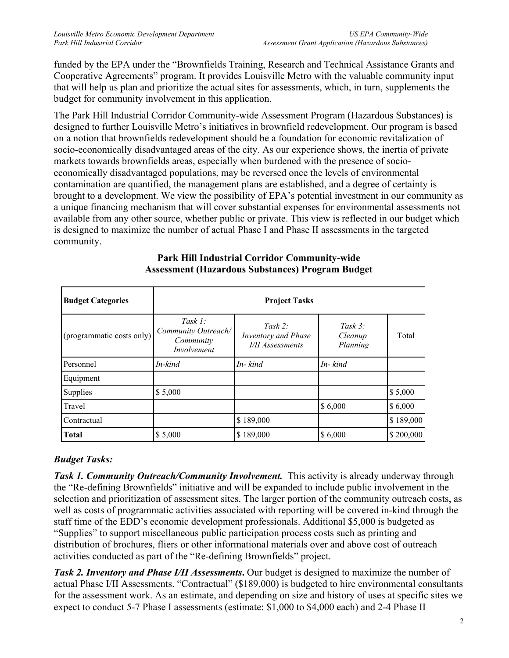funded by the EPA under the "Brownfields Training, Research and Technical Assistance Grants and Cooperative Agreements" program. It provides Louisville Metro with the valuable community input that will help us plan and prioritize the actual sites for assessments, which, in turn, supplements the budget for community involvement in this application.

The Park Hill Industrial Corridor Community-wide Assessment Program (Hazardous Substances) is designed to further Louisville Metro's initiatives in brownfield redevelopment. Our program is based on a notion that brownfields redevelopment should be a foundation for economic revitalization of socio-economically disadvantaged areas of the city. As our experience shows, the inertia of private markets towards brownfields areas, especially when burdened with the presence of socioeconomically disadvantaged populations, may be reversed once the levels of environmental contamination are quantified, the management plans are established, and a degree of certainty is brought to a development. We view the possibility of EPA's potential investment in our community as a unique financing mechanism that will cover substantial expenses for environmental assessments not available from any other source, whether public or private. This view is reflected in our budget which is designed to maximize the number of actual Phase I and Phase II assessments in the targeted community.

| <b>Budget Categories</b>  | <b>Project Tasks</b>                                          |                                                                  |                                   |           |  |
|---------------------------|---------------------------------------------------------------|------------------------------------------------------------------|-----------------------------------|-----------|--|
| (programmatic costs only) | Task $1$ :<br>Community Outreach/<br>Community<br>Involvement | Task 2:<br><b>Inventory</b> and Phase<br><b>I/II</b> Assessments | Task $3$ :<br>Cleanup<br>Planning | Total     |  |
| Personnel                 | In-kind                                                       | In-kind                                                          | In-kind                           |           |  |
| Equipment                 |                                                               |                                                                  |                                   |           |  |
| <b>Supplies</b>           | \$5,000                                                       |                                                                  |                                   | \$5,000   |  |
| Travel                    |                                                               |                                                                  | \$6,000                           | \$6,000   |  |
| Contractual               |                                                               | \$189,000                                                        |                                   | \$189,000 |  |
| <b>Total</b>              | \$5,000                                                       | \$189,000                                                        | \$6,000                           | \$200,000 |  |

### **Park Hill Industrial Corridor Community-wide Assessment (Hazardous Substances) Program Budget**

# *Budget Tasks:*

**Task 1. Community Outreach/Community Involvement.** This activity is already underway through the "Re-defining Brownfields" initiative and will be expanded to include public involvement in the selection and prioritization of assessment sites. The larger portion of the community outreach costs, as well as costs of programmatic activities associated with reporting will be covered in-kind through the staff time of the EDD's economic development professionals. Additional \$5,000 is budgeted as "Supplies" to support miscellaneous public participation process costs such as printing and distribution of brochures, fliers or other informational materials over and above cost of outreach activities conducted as part of the "Re-defining Brownfields" project.

**Task 2. Inventory and Phase I/II Assessments.** Our budget is designed to maximize the number of actual Phase I/II Assessments. "Contractual" (\$189,000) is budgeted to hire environmental consultants for the assessment work. As an estimate, and depending on size and history of uses at specific sites we expect to conduct 5-7 Phase I assessments (estimate: \$1,000 to \$4,000 each) and 2-4 Phase II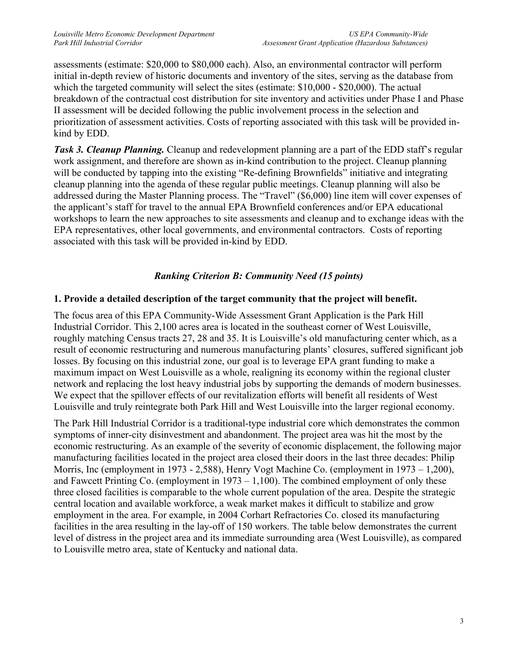assessments (estimate: \$20,000 to \$80,000 each). Also, an environmental contractor will perform initial in-depth review of historic documents and inventory of the sites, serving as the database from which the targeted community will select the sites (estimate: \$10,000 - \$20,000). The actual breakdown of the contractual cost distribution for site inventory and activities under Phase I and Phase II assessment will be decided following the public involvement process in the selection and prioritization of assessment activities. Costs of reporting associated with this task will be provided inkind by EDD.

**Task 3. Cleanup Planning.** Cleanup and redevelopment planning are a part of the EDD staff's regular work assignment, and therefore are shown as in-kind contribution to the project. Cleanup planning will be conducted by tapping into the existing "Re-defining Brownfields" initiative and integrating cleanup planning into the agenda of these regular public meetings. Cleanup planning will also be addressed during the Master Planning process. The "Travel" (\$6,000) line item will cover expenses of the applicant's staff for travel to the annual EPA Brownfield conferences and/or EPA educational workshops to learn the new approaches to site assessments and cleanup and to exchange ideas with the EPA representatives, other local governments, and environmental contractors. Costs of reporting associated with this task will be provided in-kind by EDD.

# *Ranking Criterion B: Community Need (15 points)*

# **1. Provide a detailed description of the target community that the project will benefit.**

The focus area of this EPA Community-Wide Assessment Grant Application is the Park Hill Industrial Corridor. This 2,100 acres area is located in the southeast corner of West Louisville, roughly matching Census tracts 27, 28 and 35. It is Louisville's old manufacturing center which, as a result of economic restructuring and numerous manufacturing plants' closures, suffered significant job losses. By focusing on this industrial zone, our goal is to leverage EPA grant funding to make a maximum impact on West Louisville as a whole, realigning its economy within the regional cluster network and replacing the lost heavy industrial jobs by supporting the demands of modern businesses. We expect that the spillover effects of our revitalization efforts will benefit all residents of West Louisville and truly reintegrate both Park Hill and West Louisville into the larger regional economy.

The Park Hill Industrial Corridor is a traditional-type industrial core which demonstrates the common symptoms of inner-city disinvestment and abandonment. The project area was hit the most by the economic restructuring. As an example of the severity of economic displacement, the following major manufacturing facilities located in the project area closed their doors in the last three decades: Philip Morris, Inc (employment in 1973 - 2,588), Henry Vogt Machine Co. (employment in 1973 – 1,200), and Fawcett Printing Co. (employment in  $1973 - 1,100$ ). The combined employment of only these three closed facilities is comparable to the whole current population of the area. Despite the strategic central location and available workforce, a weak market makes it difficult to stabilize and grow employment in the area. For example, in 2004 Corhart Refractories Co. closed its manufacturing facilities in the area resulting in the lay-off of 150 workers. The table below demonstrates the current level of distress in the project area and its immediate surrounding area (West Louisville), as compared to Louisville metro area, state of Kentucky and national data.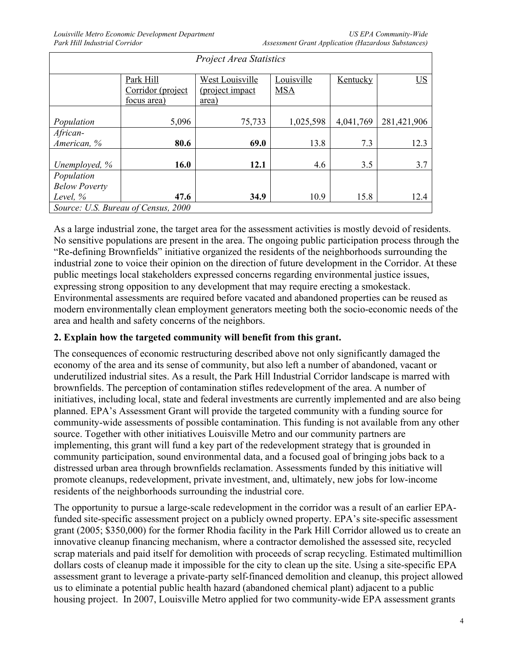*US EPA Community-Wide Assessment Grant Application (Hazardous Substances)* 

| <b>Project Area Statistics</b>      |                   |                 |            |           |                  |  |  |
|-------------------------------------|-------------------|-----------------|------------|-----------|------------------|--|--|
|                                     | Park Hill         | West Louisville | Louisville | Kentucky  | $\underline{US}$ |  |  |
|                                     | Corridor (project | (project impact | <b>MSA</b> |           |                  |  |  |
|                                     | focus area)       | <u>area</u> )   |            |           |                  |  |  |
|                                     |                   |                 |            |           |                  |  |  |
| Population                          | 5,096             | 75,733          | 1,025,598  | 4,041,769 | 281,421,906      |  |  |
| African-                            |                   |                 |            |           |                  |  |  |
| American, %                         | 80.6              | 69.0            | 13.8       | 7.3       | 12.3             |  |  |
|                                     |                   |                 |            |           |                  |  |  |
| Unemployed, %                       | 16.0              | 12.1            | 4.6        | 3.5       | 3.7              |  |  |
| Population                          |                   |                 |            |           |                  |  |  |
| <b>Below Poverty</b>                |                   |                 |            |           |                  |  |  |
| Level, %                            | 47.6              | 34.9            | 10.9       | 15.8      | 12.4             |  |  |
| Source: U.S. Bureau of Census, 2000 |                   |                 |            |           |                  |  |  |

As a large industrial zone, the target area for the assessment activities is mostly devoid of residents. No sensitive populations are present in the area. The ongoing public participation process through the "Re-defining Brownfields" initiative organized the residents of the neighborhoods surrounding the industrial zone to voice their opinion on the direction of future development in the Corridor. At these public meetings local stakeholders expressed concerns regarding environmental justice issues, expressing strong opposition to any development that may require erecting a smokestack. Environmental assessments are required before vacated and abandoned properties can be reused as modern environmentally clean employment generators meeting both the socio-economic needs of the area and health and safety concerns of the neighbors.

### **2. Explain how the targeted community will benefit from this grant.**

The consequences of economic restructuring described above not only significantly damaged the economy of the area and its sense of community, but also left a number of abandoned, vacant or underutilized industrial sites. As a result, the Park Hill Industrial Corridor landscape is marred with brownfields. The perception of contamination stifles redevelopment of the area. A number of initiatives, including local, state and federal investments are currently implemented and are also being planned. EPA's Assessment Grant will provide the targeted community with a funding source for community-wide assessments of possible contamination. This funding is not available from any other source. Together with other initiatives Louisville Metro and our community partners are implementing, this grant will fund a key part of the redevelopment strategy that is grounded in community participation, sound environmental data, and a focused goal of bringing jobs back to a distressed urban area through brownfields reclamation. Assessments funded by this initiative will promote cleanups, redevelopment, private investment, and, ultimately, new jobs for low-income residents of the neighborhoods surrounding the industrial core.

The opportunity to pursue a large-scale redevelopment in the corridor was a result of an earlier EPAfunded site-specific assessment project on a publicly owned property. EPA's site-specific assessment grant (2005; \$350,000) for the former Rhodia facility in the Park Hill Corridor allowed us to create an innovative cleanup financing mechanism, where a contractor demolished the assessed site, recycled scrap materials and paid itself for demolition with proceeds of scrap recycling. Estimated multimillion dollars costs of cleanup made it impossible for the city to clean up the site. Using a site-specific EPA assessment grant to leverage a private-party self-financed demolition and cleanup, this project allowed us to eliminate a potential public health hazard (abandoned chemical plant) adjacent to a public housing project. In 2007, Louisville Metro applied for two community-wide EPA assessment grants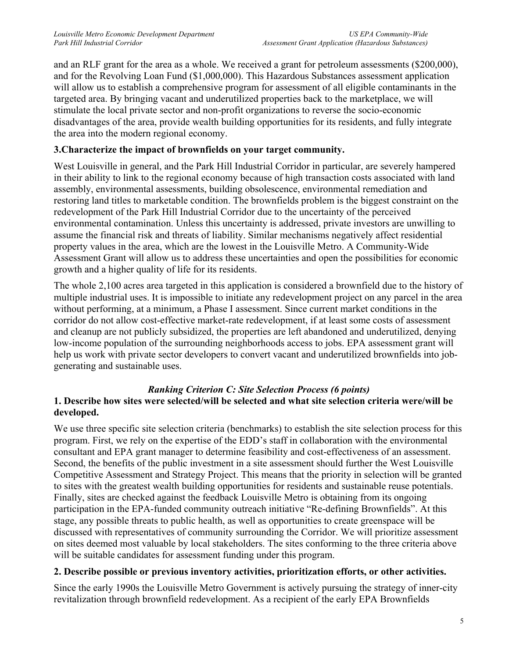and an RLF grant for the area as a whole. We received a grant for petroleum assessments (\$200,000), and for the Revolving Loan Fund (\$1,000,000). This Hazardous Substances assessment application will allow us to establish a comprehensive program for assessment of all eligible contaminants in the targeted area. By bringing vacant and underutilized properties back to the marketplace, we will stimulate the local private sector and non-profit organizations to reverse the socio-economic disadvantages of the area, provide wealth building opportunities for its residents, and fully integrate the area into the modern regional economy.

## **3.Characterize the impact of brownfields on your target community.**

West Louisville in general, and the Park Hill Industrial Corridor in particular, are severely hampered in their ability to link to the regional economy because of high transaction costs associated with land assembly, environmental assessments, building obsolescence, environmental remediation and restoring land titles to marketable condition. The brownfields problem is the biggest constraint on the redevelopment of the Park Hill Industrial Corridor due to the uncertainty of the perceived environmental contamination. Unless this uncertainty is addressed, private investors are unwilling to assume the financial risk and threats of liability. Similar mechanisms negatively affect residential property values in the area, which are the lowest in the Louisville Metro. A Community-Wide Assessment Grant will allow us to address these uncertainties and open the possibilities for economic growth and a higher quality of life for its residents.

The whole 2,100 acres area targeted in this application is considered a brownfield due to the history of multiple industrial uses. It is impossible to initiate any redevelopment project on any parcel in the area without performing, at a minimum, a Phase I assessment. Since current market conditions in the corridor do not allow cost-effective market-rate redevelopment, if at least some costs of assessment and cleanup are not publicly subsidized, the properties are left abandoned and underutilized, denying low-income population of the surrounding neighborhoods access to jobs. EPA assessment grant will help us work with private sector developers to convert vacant and underutilized brownfields into jobgenerating and sustainable uses.

### *Ranking Criterion C: Site Selection Process (6 points)*

# **1. Describe how sites were selected/will be selected and what site selection criteria were/will be developed.**

We use three specific site selection criteria (benchmarks) to establish the site selection process for this program. First, we rely on the expertise of the EDD's staff in collaboration with the environmental consultant and EPA grant manager to determine feasibility and cost-effectiveness of an assessment. Second, the benefits of the public investment in a site assessment should further the West Louisville Competitive Assessment and Strategy Project. This means that the priority in selection will be granted to sites with the greatest wealth building opportunities for residents and sustainable reuse potentials. Finally, sites are checked against the feedback Louisville Metro is obtaining from its ongoing participation in the EPA-funded community outreach initiative "Re-defining Brownfields". At this stage, any possible threats to public health, as well as opportunities to create greenspace will be discussed with representatives of community surrounding the Corridor. We will prioritize assessment on sites deemed most valuable by local stakeholders. The sites conforming to the three criteria above will be suitable candidates for assessment funding under this program.

### **2. Describe possible or previous inventory activities, prioritization efforts, or other activities.**

Since the early 1990s the Louisville Metro Government is actively pursuing the strategy of inner-city revitalization through brownfield redevelopment. As a recipient of the early EPA Brownfields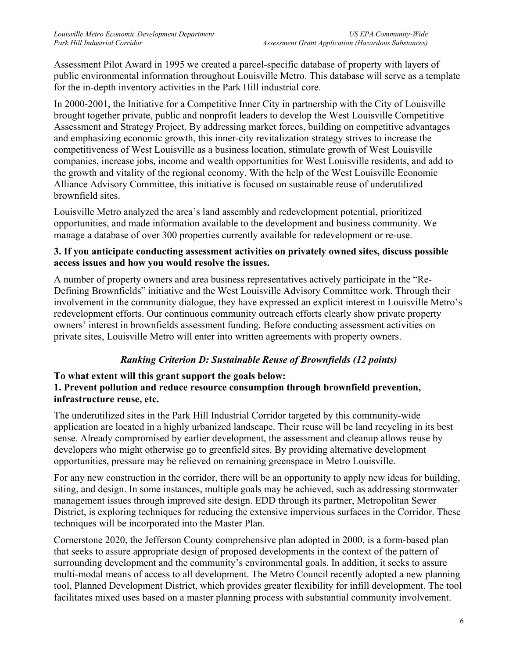Assessment Pilot Award in 1995 we created a parcel-specific database of property with layers of public environmental information throughout Louisville Metro. This database will serve as a template for the in-depth inventory activities in the Park Hill industrial core.

In 2000-2001, the Initiative for a Competitive Inner City in partnership with the City of Louisville brought together private, public and nonprofit leaders to develop the West Louisville Competitive Assessment and Strategy Project. By addressing market forces, building on competitive advantages and emphasizing economic growth, this inner-city revitalization strategy strives to increase the competitiveness of West Louisville as a business location, stimulate growth of West Louisville companies, increase jobs, income and wealth opportunities for West Louisville residents, and add to the growth and vitality of the regional economy. With the help of the West Louisville Economic Alliance Advisory Committee, this initiative is focused on sustainable reuse of underutilized brownfield sites.

Louisville Metro analyzed the area's land assembly and redevelopment potential, prioritized opportunities, and made information available to the development and business community. We manage a database of over 300 properties currently available for redevelopment or re-use.

### **3. If you anticipate conducting assessment activities on privately owned sites, discuss possible access issues and how you would resolve the issues.**

A number of property owners and area business representatives actively participate in the "Re-Defining Brownfields" initiative and the West Louisville Advisory Committee work. Through their involvement in the community dialogue, they have expressed an explicit interest in Louisville Metro's redevelopment efforts. Our continuous community outreach efforts clearly show private property owners' interest in brownfields assessment funding. Before conducting assessment activities on private sites, Louisville Metro will enter into written agreements with property owners.

# *Ranking Criterion D: Sustainable Reuse of Brownfields (12 points)*

# **To what extent will this grant support the goals below:**

### **1. Prevent pollution and reduce resource consumption through brownfield prevention, infrastructure reuse, etc.**

The underutilized sites in the Park Hill Industrial Corridor targeted by this community-wide application are located in a highly urbanized landscape. Their reuse will be land recycling in its best sense. Already compromised by earlier development, the assessment and cleanup allows reuse by developers who might otherwise go to greenfield sites. By providing alternative development opportunities, pressure may be relieved on remaining greenspace in Metro Louisville.

For any new construction in the corridor, there will be an opportunity to apply new ideas for building, siting, and design. In some instances, multiple goals may be achieved, such as addressing stormwater management issues through improved site design. EDD through its partner, Metropolitan Sewer District, is exploring techniques for reducing the extensive impervious surfaces in the Corridor. These techniques will be incorporated into the Master Plan.

Cornerstone 2020, the Jefferson County comprehensive plan adopted in 2000, is a form-based plan that seeks to assure appropriate design of proposed developments in the context of the pattern of surrounding development and the community's environmental goals. In addition, it seeks to assure multi-modal means of access to all development. The Metro Council recently adopted a new planning tool, Planned Development District, which provides greater flexibility for infill development. The tool facilitates mixed uses based on a master planning process with substantial community involvement.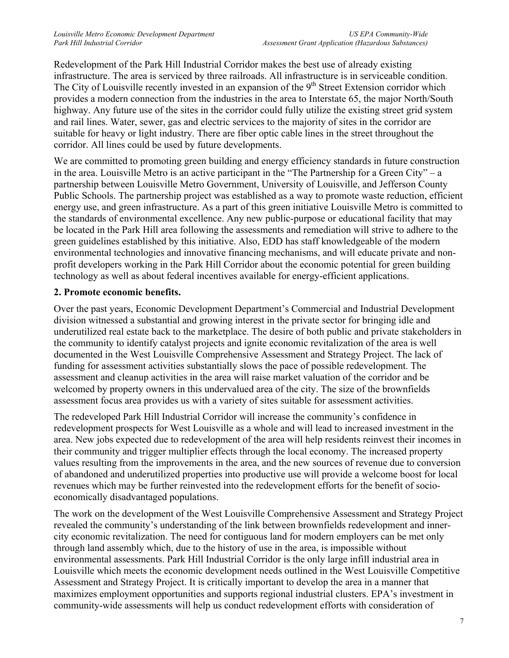Redevelopment of the Park Hill Industrial Corridor makes the best use of already existing infrastructure. The area is serviced by three railroads. All infrastructure is in serviceable condition. The City of Louisville recently invested in an expansion of the 9<sup>th</sup> Street Extension corridor which provides a modern connection from the industries in the area to Interstate 65, the major North/South highway. Any future use of the sites in the corridor could fully utilize the existing street grid system and rail lines. Water, sewer, gas and electric services to the majority of sites in the corridor are suitable for heavy or light industry. There are fiber optic cable lines in the street throughout the corridor. All lines could be used by future developments.

We are committed to promoting green building and energy efficiency standards in future construction in the area. Louisville Metro is an active participant in the "The Partnership for a Green City" – a partnership between Louisville Metro Government, University of Louisville, and Jefferson County Public Schools. The partnership project was established as a way to promote waste reduction, efficient energy use, and green infrastructure. As a part of this green initiative Louisville Metro is committed to the standards of environmental excellence. Any new public-purpose or educational facility that may be located in the Park Hill area following the assessments and remediation will strive to adhere to the green guidelines established by this initiative. Also, EDD has staff knowledgeable of the modern environmental technologies and innovative financing mechanisms, and will educate private and nonprofit developers working in the Park Hill Corridor about the economic potential for green building technology as well as about federal incentives available for energy-efficient applications.

## **2. Promote economic benefits.**

Over the past years, Economic Development Department's Commercial and Industrial Development division witnessed a substantial and growing interest in the private sector for bringing idle and underutilized real estate back to the marketplace. The desire of both public and private stakeholders in the community to identify catalyst projects and ignite economic revitalization of the area is well documented in the West Louisville Comprehensive Assessment and Strategy Project. The lack of funding for assessment activities substantially slows the pace of possible redevelopment. The assessment and cleanup activities in the area will raise market valuation of the corridor and be welcomed by property owners in this undervalued area of the city. The size of the brownfields assessment focus area provides us with a variety of sites suitable for assessment activities.

The redeveloped Park Hill Industrial Corridor will increase the community's confidence in redevelopment prospects for West Louisville as a whole and will lead to increased investment in the area. New jobs expected due to redevelopment of the area will help residents reinvest their incomes in their community and trigger multiplier effects through the local economy. The increased property values resulting from the improvements in the area, and the new sources of revenue due to conversion of abandoned and underutilized properties into productive use will provide a welcome boost for local revenues which may be further reinvested into the redevelopment efforts for the benefit of socioeconomically disadvantaged populations.

The work on the development of the West Louisville Comprehensive Assessment and Strategy Project revealed the community's understanding of the link between brownfields redevelopment and innercity economic revitalization. The need for contiguous land for modern employers can be met only through land assembly which, due to the history of use in the area, is impossible without environmental assessments. Park Hill Industrial Corridor is the only large infill industrial area in Louisville which meets the economic development needs outlined in the West Louisville Competitive Assessment and Strategy Project. It is critically important to develop the area in a manner that maximizes employment opportunities and supports regional industrial clusters. EPA's investment in community-wide assessments will help us conduct redevelopment efforts with consideration of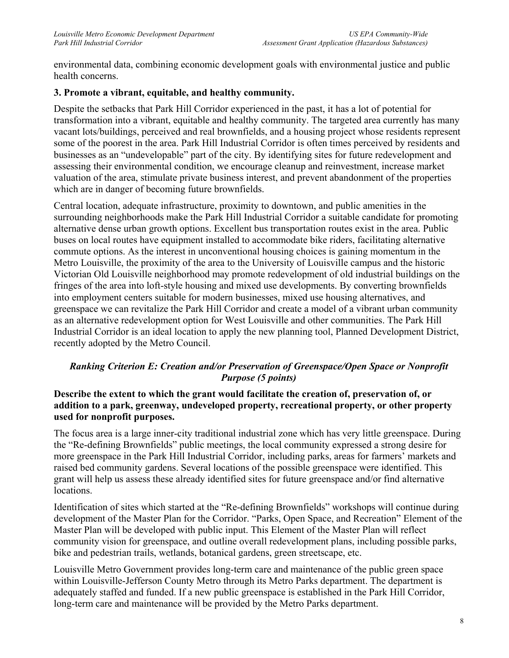environmental data, combining economic development goals with environmental justice and public health concerns.

## **3. Promote a vibrant, equitable, and healthy community.**

Despite the setbacks that Park Hill Corridor experienced in the past, it has a lot of potential for transformation into a vibrant, equitable and healthy community. The targeted area currently has many vacant lots/buildings, perceived and real brownfields, and a housing project whose residents represent some of the poorest in the area. Park Hill Industrial Corridor is often times perceived by residents and businesses as an "undevelopable" part of the city. By identifying sites for future redevelopment and assessing their environmental condition, we encourage cleanup and reinvestment, increase market valuation of the area, stimulate private business interest, and prevent abandonment of the properties which are in danger of becoming future brownfields.

Central location, adequate infrastructure, proximity to downtown, and public amenities in the surrounding neighborhoods make the Park Hill Industrial Corridor a suitable candidate for promoting alternative dense urban growth options. Excellent bus transportation routes exist in the area. Public buses on local routes have equipment installed to accommodate bike riders, facilitating alternative commute options. As the interest in unconventional housing choices is gaining momentum in the Metro Louisville, the proximity of the area to the University of Louisville campus and the historic Victorian Old Louisville neighborhood may promote redevelopment of old industrial buildings on the fringes of the area into loft-style housing and mixed use developments. By converting brownfields into employment centers suitable for modern businesses, mixed use housing alternatives, and greenspace we can revitalize the Park Hill Corridor and create a model of a vibrant urban community as an alternative redevelopment option for West Louisville and other communities. The Park Hill Industrial Corridor is an ideal location to apply the new planning tool, Planned Development District, recently adopted by the Metro Council.

## *Ranking Criterion E: Creation and/or Preservation of Greenspace/Open Space or Nonprofit Purpose (5 points)*

### **Describe the extent to which the grant would facilitate the creation of, preservation of, or addition to a park, greenway, undeveloped property, recreational property, or other property used for nonprofit purposes.**

The focus area is a large inner-city traditional industrial zone which has very little greenspace. During the "Re-defining Brownfields" public meetings, the local community expressed a strong desire for more greenspace in the Park Hill Industrial Corridor, including parks, areas for farmers' markets and raised bed community gardens. Several locations of the possible greenspace were identified. This grant will help us assess these already identified sites for future greenspace and/or find alternative locations.

Identification of sites which started at the "Re-defining Brownfields" workshops will continue during development of the Master Plan for the Corridor. "Parks, Open Space, and Recreation" Element of the Master Plan will be developed with public input. This Element of the Master Plan will reflect community vision for greenspace, and outline overall redevelopment plans, including possible parks, bike and pedestrian trails, wetlands, botanical gardens, green streetscape, etc.

Louisville Metro Government provides long-term care and maintenance of the public green space within Louisville-Jefferson County Metro through its Metro Parks department. The department is adequately staffed and funded. If a new public greenspace is established in the Park Hill Corridor, long-term care and maintenance will be provided by the Metro Parks department.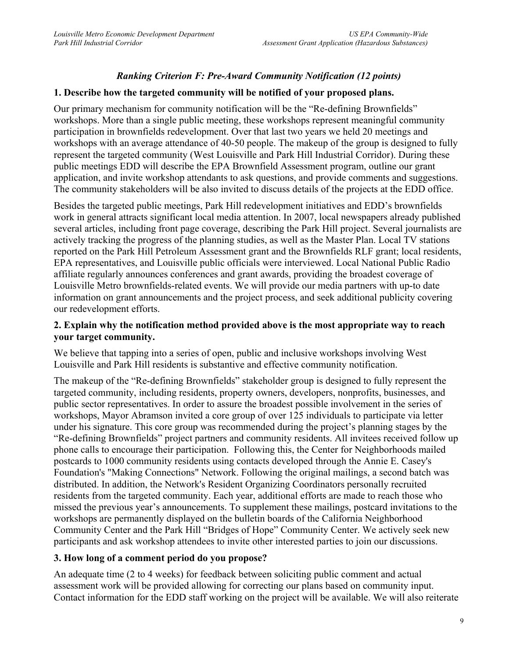# *Ranking Criterion F: Pre-Award Community Notification (12 points)*

### **1. Describe how the targeted community will be notified of your proposed plans.**

Our primary mechanism for community notification will be the "Re-defining Brownfields" workshops. More than a single public meeting, these workshops represent meaningful community participation in brownfields redevelopment. Over that last two years we held 20 meetings and workshops with an average attendance of 40-50 people. The makeup of the group is designed to fully represent the targeted community (West Louisville and Park Hill Industrial Corridor). During these public meetings EDD will describe the EPA Brownfield Assessment program, outline our grant application, and invite workshop attendants to ask questions, and provide comments and suggestions. The community stakeholders will be also invited to discuss details of the projects at the EDD office.

Besides the targeted public meetings, Park Hill redevelopment initiatives and EDD's brownfields work in general attracts significant local media attention. In 2007, local newspapers already published several articles, including front page coverage, describing the Park Hill project. Several journalists are actively tracking the progress of the planning studies, as well as the Master Plan. Local TV stations reported on the Park Hill Petroleum Assessment grant and the Brownfields RLF grant; local residents, EPA representatives, and Louisville public officials were interviewed. Local National Public Radio affiliate regularly announces conferences and grant awards, providing the broadest coverage of Louisville Metro brownfields-related events. We will provide our media partners with up-to date information on grant announcements and the project process, and seek additional publicity covering our redevelopment efforts.

### **2. Explain why the notification method provided above is the most appropriate way to reach your target community.**

We believe that tapping into a series of open, public and inclusive workshops involving West Louisville and Park Hill residents is substantive and effective community notification.

The makeup of the "Re-defining Brownfields" stakeholder group is designed to fully represent the targeted community, including residents, property owners, developers, nonprofits, businesses, and public sector representatives. In order to assure the broadest possible involvement in the series of workshops, Mayor Abramson invited a core group of over 125 individuals to participate via letter under his signature. This core group was recommended during the project's planning stages by the "Re-defining Brownfields" project partners and community residents. All invitees received follow up phone calls to encourage their participation. Following this, the Center for Neighborhoods mailed postcards to 1000 community residents using contacts developed through the Annie E. Casey's Foundation's "Making Connections" Network. Following the original mailings, a second batch was distributed. In addition, the Network's Resident Organizing Coordinators personally recruited residents from the targeted community. Each year, additional efforts are made to reach those who missed the previous year's announcements. To supplement these mailings, postcard invitations to the workshops are permanently displayed on the bulletin boards of the California Neighborhood Community Center and the Park Hill "Bridges of Hope" Community Center. We actively seek new participants and ask workshop attendees to invite other interested parties to join our discussions.

### **3. How long of a comment period do you propose?**

An adequate time (2 to 4 weeks) for feedback between soliciting public comment and actual assessment work will be provided allowing for correcting our plans based on community input. Contact information for the EDD staff working on the project will be available. We will also reiterate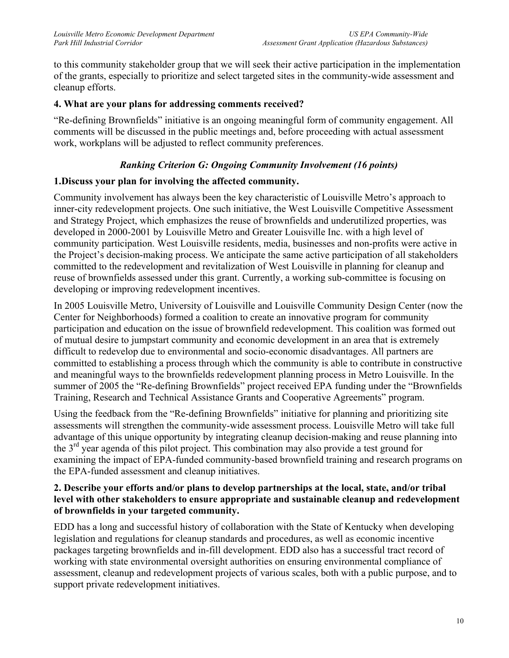to this community stakeholder group that we will seek their active participation in the implementation of the grants, especially to prioritize and select targeted sites in the community-wide assessment and cleanup efforts.

## **4. What are your plans for addressing comments received?**

"Re-defining Brownfields" initiative is an ongoing meaningful form of community engagement. All comments will be discussed in the public meetings and, before proceeding with actual assessment work, workplans will be adjusted to reflect community preferences.

# *Ranking Criterion G: Ongoing Community Involvement (16 points)*

## **1.Discuss your plan for involving the affected community.**

Community involvement has always been the key characteristic of Louisville Metro's approach to inner-city redevelopment projects. One such initiative, the West Louisville Competitive Assessment and Strategy Project, which emphasizes the reuse of brownfields and underutilized properties, was developed in 2000-2001 by Louisville Metro and Greater Louisville Inc. with a high level of community participation. West Louisville residents, media, businesses and non-profits were active in the Project's decision-making process. We anticipate the same active participation of all stakeholders committed to the redevelopment and revitalization of West Louisville in planning for cleanup and reuse of brownfields assessed under this grant. Currently, a working sub-committee is focusing on developing or improving redevelopment incentives.

In 2005 Louisville Metro, University of Louisville and Louisville Community Design Center (now the Center for Neighborhoods) formed a coalition to create an innovative program for community participation and education on the issue of brownfield redevelopment. This coalition was formed out of mutual desire to jumpstart community and economic development in an area that is extremely difficult to redevelop due to environmental and socio-economic disadvantages. All partners are committed to establishing a process through which the community is able to contribute in constructive and meaningful ways to the brownfields redevelopment planning process in Metro Louisville. In the summer of 2005 the "Re-defining Brownfields" project received EPA funding under the "Brownfields Training, Research and Technical Assistance Grants and Cooperative Agreements" program.

Using the feedback from the "Re-defining Brownfields" initiative for planning and prioritizing site assessments will strengthen the community-wide assessment process. Louisville Metro will take full advantage of this unique opportunity by integrating cleanup decision-making and reuse planning into the  $3<sup>rd</sup>$  year agenda of this pilot project. This combination may also provide a test ground for examining the impact of EPA-funded community-based brownfield training and research programs on the EPA-funded assessment and cleanup initiatives.

### **2. Describe your efforts and/or plans to develop partnerships at the local, state, and/or tribal level with other stakeholders to ensure appropriate and sustainable cleanup and redevelopment of brownfields in your targeted community.**

EDD has a long and successful history of collaboration with the State of Kentucky when developing legislation and regulations for cleanup standards and procedures, as well as economic incentive packages targeting brownfields and in-fill development. EDD also has a successful tract record of working with state environmental oversight authorities on ensuring environmental compliance of assessment, cleanup and redevelopment projects of various scales, both with a public purpose, and to support private redevelopment initiatives.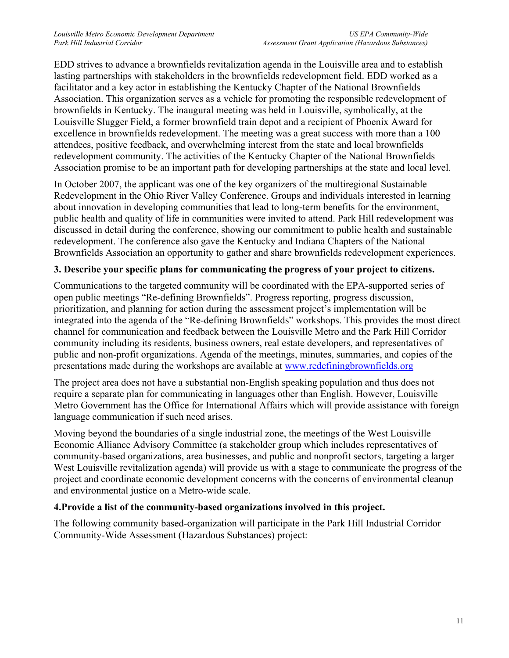EDD strives to advance a brownfields revitalization agenda in the Louisville area and to establish lasting partnerships with stakeholders in the brownfields redevelopment field. EDD worked as a facilitator and a key actor in establishing the Kentucky Chapter of the National Brownfields Association. This organization serves as a vehicle for promoting the responsible redevelopment of brownfields in Kentucky. The inaugural meeting was held in Louisville, symbolically, at the Louisville Slugger Field, a former brownfield train depot and a recipient of Phoenix Award for excellence in brownfields redevelopment. The meeting was a great success with more than a 100 attendees, positive feedback, and overwhelming interest from the state and local brownfields redevelopment community. The activities of the Kentucky Chapter of the National Brownfields Association promise to be an important path for developing partnerships at the state and local level.

In October 2007, the applicant was one of the key organizers of the multiregional Sustainable Redevelopment in the Ohio River Valley Conference. Groups and individuals interested in learning about innovation in developing communities that lead to long-term benefits for the environment, public health and quality of life in communities were invited to attend. Park Hill redevelopment was discussed in detail during the conference, showing our commitment to public health and sustainable redevelopment. The conference also gave the Kentucky and Indiana Chapters of the National Brownfields Association an opportunity to gather and share brownfields redevelopment experiences.

### **3. Describe your specific plans for communicating the progress of your project to citizens.**

Communications to the targeted community will be coordinated with the EPA-supported series of open public meetings "Re-defining Brownfields". Progress reporting, progress discussion, prioritization, and planning for action during the assessment project's implementation will be integrated into the agenda of the "Re-defining Brownfields" workshops. This provides the most direct channel for communication and feedback between the Louisville Metro and the Park Hill Corridor community including its residents, business owners, real estate developers, and representatives of public and non-profit organizations. Agenda of the meetings, minutes, summaries, and copies of the presentations made during the workshops are available at www.redefiningbrownfields.org

The project area does not have a substantial non-English speaking population and thus does not require a separate plan for communicating in languages other than English. However, Louisville Metro Government has the Office for International Affairs which will provide assistance with foreign language communication if such need arises.

Moving beyond the boundaries of a single industrial zone, the meetings of the West Louisville Economic Alliance Advisory Committee (a stakeholder group which includes representatives of community-based organizations, area businesses, and public and nonprofit sectors, targeting a larger West Louisville revitalization agenda) will provide us with a stage to communicate the progress of the project and coordinate economic development concerns with the concerns of environmental cleanup and environmental justice on a Metro-wide scale.

### **4.Provide a list of the community-based organizations involved in this project.**

The following community based-organization will participate in the Park Hill Industrial Corridor Community-Wide Assessment (Hazardous Substances) project: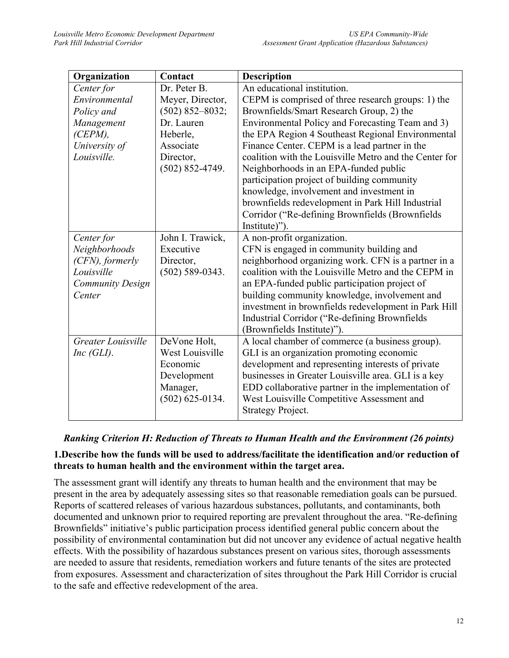| Organization            | Contact             | <b>Description</b>                                                                                                                                    |
|-------------------------|---------------------|-------------------------------------------------------------------------------------------------------------------------------------------------------|
| Center for              | Dr. Peter B.        | An educational institution.                                                                                                                           |
| Environmental           | Meyer, Director,    | CEPM is comprised of three research groups: 1) the                                                                                                    |
| Policy and              | $(502)$ 852-8032;   | Brownfields/Smart Research Group, 2) the                                                                                                              |
| Management              | Dr. Lauren          | Environmental Policy and Forecasting Team and 3)                                                                                                      |
| $(CEPM)$ ,              | Heberle,            | the EPA Region 4 Southeast Regional Environmental                                                                                                     |
| University of           | Associate           | Finance Center. CEPM is a lead partner in the                                                                                                         |
| Louisville.             | Director,           | coalition with the Louisville Metro and the Center for                                                                                                |
|                         | $(502)$ 852-4749.   | Neighborhoods in an EPA-funded public                                                                                                                 |
|                         |                     | participation project of building community                                                                                                           |
|                         |                     | knowledge, involvement and investment in                                                                                                              |
|                         |                     | brownfields redevelopment in Park Hill Industrial                                                                                                     |
|                         |                     | Corridor ("Re-defining Brownfields (Brownfields                                                                                                       |
|                         |                     | Institute)").                                                                                                                                         |
| Center for              | John I. Trawick,    | A non-profit organization.                                                                                                                            |
| Neighborhoods           | Executive           | CFN is engaged in community building and                                                                                                              |
| (CFN), formerly         | Director,           | neighborhood organizing work. CFN is a partner in a                                                                                                   |
| Louisville              | $(502) 589 - 0343.$ | coalition with the Louisville Metro and the CEPM in                                                                                                   |
| <b>Community Design</b> |                     |                                                                                                                                                       |
| Center                  |                     |                                                                                                                                                       |
|                         |                     | investment in brownfields redevelopment in Park Hill                                                                                                  |
|                         |                     | Industrial Corridor ("Re-defining Brownfields                                                                                                         |
|                         |                     | (Brownfields Institute)").                                                                                                                            |
| Greater Louisville      | DeVone Holt,        | A local chamber of commerce (a business group).                                                                                                       |
| $Inc$ (GLI).            | West Louisville     | GLI is an organization promoting economic                                                                                                             |
|                         | Economic            | development and representing interests of private                                                                                                     |
|                         | Development         |                                                                                                                                                       |
|                         | Manager,            | EDD collaborative partner in the implementation of                                                                                                    |
|                         | $(502)$ 625-0134.   | West Louisville Competitive Assessment and                                                                                                            |
|                         |                     | <b>Strategy Project.</b>                                                                                                                              |
|                         |                     | an EPA-funded public participation project of<br>building community knowledge, involvement and<br>businesses in Greater Louisville area. GLI is a key |

### *Ranking Criterion H: Reduction of Threats to Human Health and the Environment (26 points)*

### **1.Describe how the funds will be used to address/facilitate the identification and/or reduction of threats to human health and the environment within the target area.**

The assessment grant will identify any threats to human health and the environment that may be present in the area by adequately assessing sites so that reasonable remediation goals can be pursued. Reports of scattered releases of various hazardous substances, pollutants, and contaminants, both documented and unknown prior to required reporting are prevalent throughout the area. "Re-defining Brownfields" initiative's public participation process identified general public concern about the possibility of environmental contamination but did not uncover any evidence of actual negative health effects. With the possibility of hazardous substances present on various sites, thorough assessments are needed to assure that residents, remediation workers and future tenants of the sites are protected from exposures. Assessment and characterization of sites throughout the Park Hill Corridor is crucial to the safe and effective redevelopment of the area.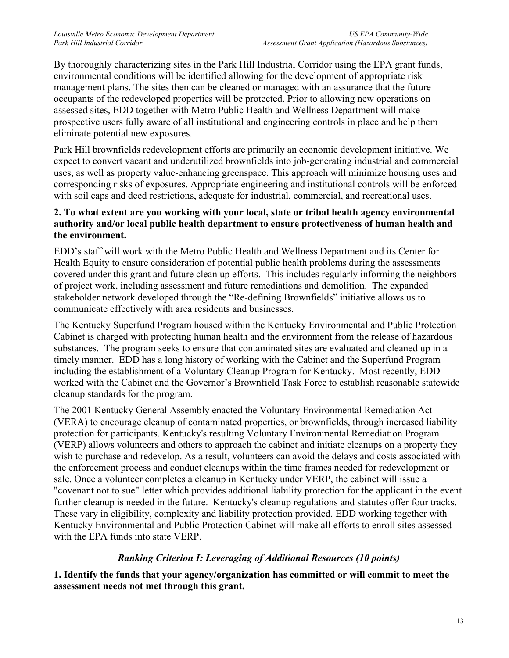By thoroughly characterizing sites in the Park Hill Industrial Corridor using the EPA grant funds, environmental conditions will be identified allowing for the development of appropriate risk management plans. The sites then can be cleaned or managed with an assurance that the future occupants of the redeveloped properties will be protected. Prior to allowing new operations on assessed sites, EDD together with Metro Public Health and Wellness Department will make prospective users fully aware of all institutional and engineering controls in place and help them eliminate potential new exposures.

Park Hill brownfields redevelopment efforts are primarily an economic development initiative. We expect to convert vacant and underutilized brownfields into job-generating industrial and commercial uses, as well as property value-enhancing greenspace. This approach will minimize housing uses and corresponding risks of exposures. Appropriate engineering and institutional controls will be enforced with soil caps and deed restrictions, adequate for industrial, commercial, and recreational uses.

### **2. To what extent are you working with your local, state or tribal health agency environmental authority and/or local public health department to ensure protectiveness of human health and the environment.**

EDD's staff will work with the Metro Public Health and Wellness Department and its Center for Health Equity to ensure consideration of potential public health problems during the assessments covered under this grant and future clean up efforts. This includes regularly informing the neighbors of project work, including assessment and future remediations and demolition. The expanded stakeholder network developed through the "Re-defining Brownfields" initiative allows us to communicate effectively with area residents and businesses.

The Kentucky Superfund Program housed within the Kentucky Environmental and Public Protection Cabinet is charged with protecting human health and the environment from the release of hazardous substances. The program seeks to ensure that contaminated sites are evaluated and cleaned up in a timely manner. EDD has a long history of working with the Cabinet and the Superfund Program including the establishment of a Voluntary Cleanup Program for Kentucky. Most recently, EDD worked with the Cabinet and the Governor's Brownfield Task Force to establish reasonable statewide cleanup standards for the program.

The 2001 Kentucky General Assembly enacted the Voluntary Environmental Remediation Act (VERA) to encourage cleanup of contaminated properties, or brownfields, through increased liability protection for participants. Kentucky's resulting Voluntary Environmental Remediation Program (VERP) allows volunteers and others to approach the cabinet and initiate cleanups on a property they wish to purchase and redevelop. As a result, volunteers can avoid the delays and costs associated with the enforcement process and conduct cleanups within the time frames needed for redevelopment or sale. Once a volunteer completes a cleanup in Kentucky under VERP, the cabinet will issue a "covenant not to sue" letter which provides additional liability protection for the applicant in the event further cleanup is needed in the future. Kentucky's cleanup regulations and statutes offer four tracks. These vary in eligibility, complexity and liability protection provided. EDD working together with Kentucky Environmental and Public Protection Cabinet will make all efforts to enroll sites assessed with the EPA funds into state VERP.

# *Ranking Criterion I: Leveraging of Additional Resources (10 points)*

**1. Identify the funds that your agency/organization has committed or will commit to meet the assessment needs not met through this grant.**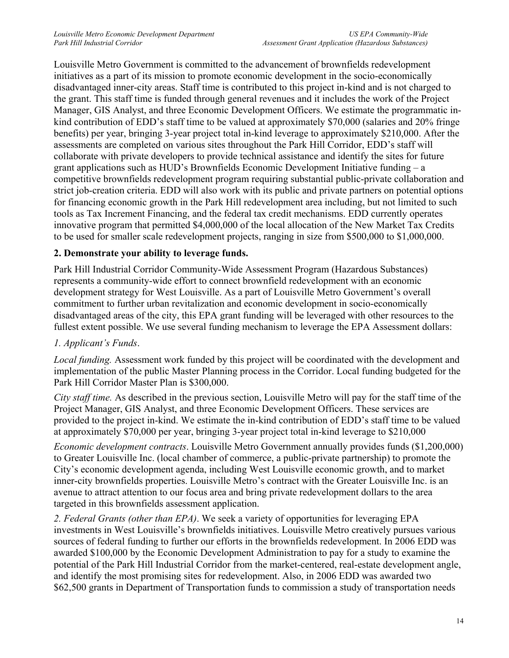Louisville Metro Government is committed to the advancement of brownfields redevelopment initiatives as a part of its mission to promote economic development in the socio-economically disadvantaged inner-city areas. Staff time is contributed to this project in-kind and is not charged to the grant. This staff time is funded through general revenues and it includes the work of the Project Manager, GIS Analyst, and three Economic Development Officers. We estimate the programmatic inkind contribution of EDD's staff time to be valued at approximately \$70,000 (salaries and 20% fringe benefits) per year, bringing 3-year project total in-kind leverage to approximately \$210,000. After the assessments are completed on various sites throughout the Park Hill Corridor, EDD's staff will collaborate with private developers to provide technical assistance and identify the sites for future grant applications such as HUD's Brownfields Economic Development Initiative funding – a competitive brownfields redevelopment program requiring substantial public-private collaboration and strict job-creation criteria. EDD will also work with its public and private partners on potential options for financing economic growth in the Park Hill redevelopment area including, but not limited to such tools as Tax Increment Financing, and the federal tax credit mechanisms. EDD currently operates innovative program that permitted \$4,000,000 of the local allocation of the New Market Tax Credits to be used for smaller scale redevelopment projects, ranging in size from \$500,000 to \$1,000,000.

# **2. Demonstrate your ability to leverage funds.**

Park Hill Industrial Corridor Community-Wide Assessment Program (Hazardous Substances) represents a community-wide effort to connect brownfield redevelopment with an economic development strategy for West Louisville. As a part of Louisville Metro Government's overall commitment to further urban revitalization and economic development in socio-economically disadvantaged areas of the city, this EPA grant funding will be leveraged with other resources to the fullest extent possible. We use several funding mechanism to leverage the EPA Assessment dollars:

# *1. Applicant's Funds*.

*Local funding.* Assessment work funded by this project will be coordinated with the development and implementation of the public Master Planning process in the Corridor. Local funding budgeted for the Park Hill Corridor Master Plan is \$300,000.

*City staff time.* As described in the previous section, Louisville Metro will pay for the staff time of the Project Manager, GIS Analyst, and three Economic Development Officers. These services are provided to the project in-kind. We estimate the in-kind contribution of EDD's staff time to be valued at approximately \$70,000 per year, bringing 3-year project total in-kind leverage to \$210,000

*Economic development contracts*. Louisville Metro Government annually provides funds (\$1,200,000) to Greater Louisville Inc. (local chamber of commerce, a public-private partnership) to promote the City's economic development agenda, including West Louisville economic growth, and to market inner-city brownfields properties. Louisville Metro's contract with the Greater Louisville Inc. is an avenue to attract attention to our focus area and bring private redevelopment dollars to the area targeted in this brownfields assessment application.

*2. Federal Grants (other than EPA)*. We seek a variety of opportunities for leveraging EPA investments in West Louisville's brownfields initiatives. Louisville Metro creatively pursues various sources of federal funding to further our efforts in the brownfields redevelopment. In 2006 EDD was awarded \$100,000 by the Economic Development Administration to pay for a study to examine the potential of the Park Hill Industrial Corridor from the market-centered, real-estate development angle, and identify the most promising sites for redevelopment. Also, in 2006 EDD was awarded two \$62,500 grants in Department of Transportation funds to commission a study of transportation needs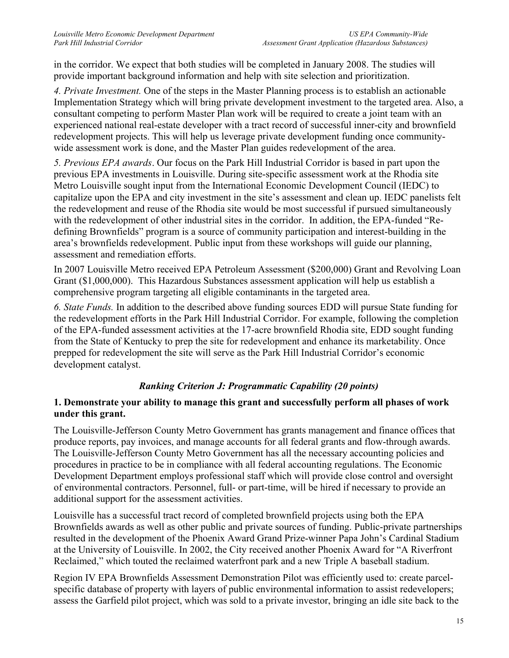in the corridor. We expect that both studies will be completed in January 2008. The studies will provide important background information and help with site selection and prioritization.

*4. Private Investment.* One of the steps in the Master Planning process is to establish an actionable Implementation Strategy which will bring private development investment to the targeted area. Also, a consultant competing to perform Master Plan work will be required to create a joint team with an experienced national real-estate developer with a tract record of successful inner-city and brownfield redevelopment projects. This will help us leverage private development funding once communitywide assessment work is done, and the Master Plan guides redevelopment of the area.

*5. Previous EPA awards*. Our focus on the Park Hill Industrial Corridor is based in part upon the previous EPA investments in Louisville. During site-specific assessment work at the Rhodia site Metro Louisville sought input from the International Economic Development Council (IEDC) to capitalize upon the EPA and city investment in the site's assessment and clean up. IEDC panelists felt the redevelopment and reuse of the Rhodia site would be most successful if pursued simultaneously with the redevelopment of other industrial sites in the corridor. In addition, the EPA-funded "Redefining Brownfields" program is a source of community participation and interest-building in the area's brownfields redevelopment. Public input from these workshops will guide our planning, assessment and remediation efforts.

In 2007 Louisville Metro received EPA Petroleum Assessment (\$200,000) Grant and Revolving Loan Grant (\$1,000,000). This Hazardous Substances assessment application will help us establish a comprehensive program targeting all eligible contaminants in the targeted area.

*6. State Funds.* In addition to the described above funding sources EDD will pursue State funding for the redevelopment efforts in the Park Hill Industrial Corridor. For example, following the completion of the EPA-funded assessment activities at the 17-acre brownfield Rhodia site, EDD sought funding from the State of Kentucky to prep the site for redevelopment and enhance its marketability. Once prepped for redevelopment the site will serve as the Park Hill Industrial Corridor's economic development catalyst.

# *Ranking Criterion J: Programmatic Capability (20 points)*

### **1. Demonstrate your ability to manage this grant and successfully perform all phases of work under this grant.**

The Louisville-Jefferson County Metro Government has grants management and finance offices that produce reports, pay invoices, and manage accounts for all federal grants and flow-through awards. The Louisville-Jefferson County Metro Government has all the necessary accounting policies and procedures in practice to be in compliance with all federal accounting regulations. The Economic Development Department employs professional staff which will provide close control and oversight of environmental contractors. Personnel, full- or part-time, will be hired if necessary to provide an additional support for the assessment activities.

Louisville has a successful tract record of completed brownfield projects using both the EPA Brownfields awards as well as other public and private sources of funding. Public-private partnerships resulted in the development of the Phoenix Award Grand Prize-winner Papa John's Cardinal Stadium at the University of Louisville. In 2002, the City received another Phoenix Award for "A Riverfront Reclaimed," which touted the reclaimed waterfront park and a new Triple A baseball stadium.

Region IV EPA Brownfields Assessment Demonstration Pilot was efficiently used to: create parcelspecific database of property with layers of public environmental information to assist redevelopers; assess the Garfield pilot project, which was sold to a private investor, bringing an idle site back to the